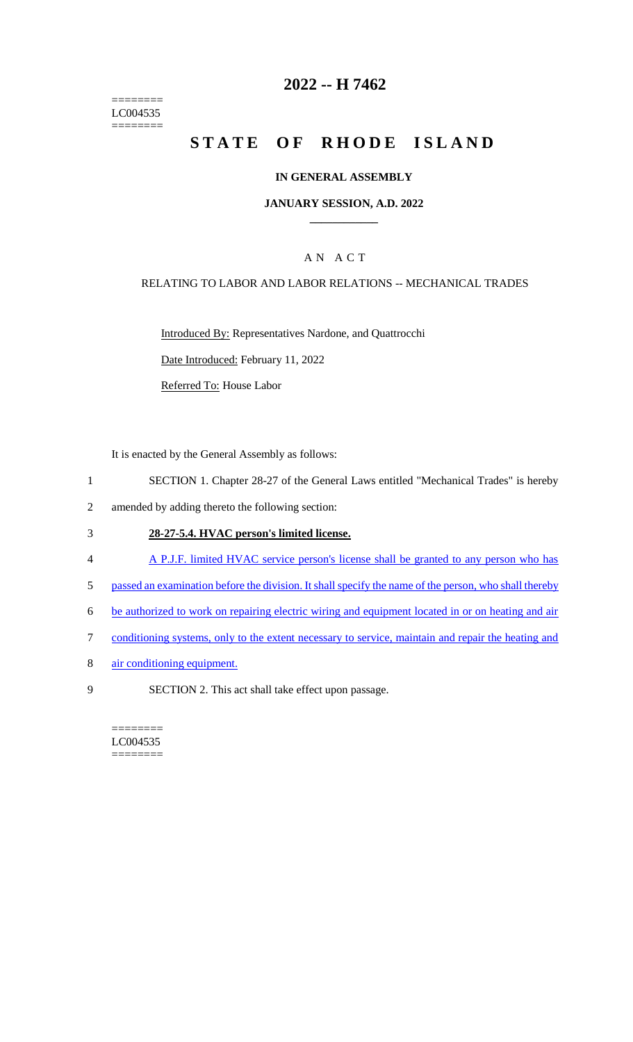======== LC004535  $=$ 

# **2022 -- H 7462**

# **STATE OF RHODE ISLAND**

#### **IN GENERAL ASSEMBLY**

#### **JANUARY SESSION, A.D. 2022 \_\_\_\_\_\_\_\_\_\_\_\_**

### A N A C T

#### RELATING TO LABOR AND LABOR RELATIONS -- MECHANICAL TRADES

Introduced By: Representatives Nardone, and Quattrocchi

Date Introduced: February 11, 2022

Referred To: House Labor

It is enacted by the General Assembly as follows:

- 1 SECTION 1. Chapter 28-27 of the General Laws entitled "Mechanical Trades" is hereby
- 2 amended by adding thereto the following section:

#### 3 **28-27-5.4. HVAC person's limited license.**

- 4 A P.J.F. limited HVAC service person's license shall be granted to any person who has
- 5 passed an examination before the division. It shall specify the name of the person, who shall thereby
- 6 be authorized to work on repairing electric wiring and equipment located in or on heating and air
- 7 conditioning systems, only to the extent necessary to service, maintain and repair the heating and
- 8 air conditioning equipment.
- 9 SECTION 2. This act shall take effect upon passage.

======== LC004535 ========